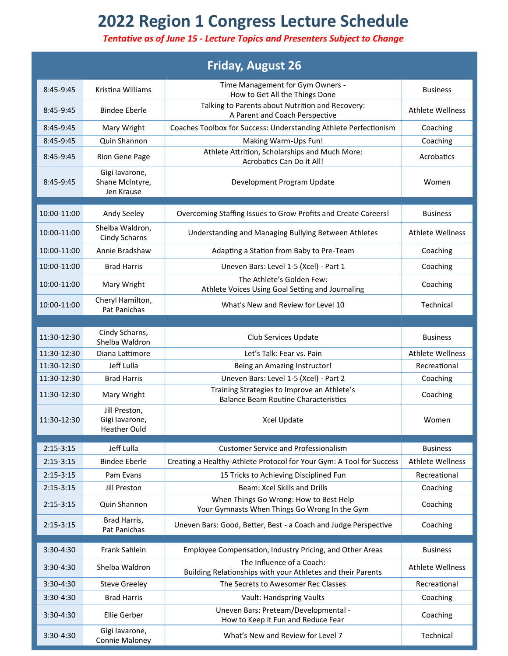## **2022 Region 1 Congress Lecture Schedule**

## *Tentative as of June 15 - Lecture Topics and Presenters Subject to Change*

|               |                                                       | <b>Friday, August 26</b>                                                                   |                         |
|---------------|-------------------------------------------------------|--------------------------------------------------------------------------------------------|-------------------------|
| 8:45-9:45     | Kristina Williams                                     | Time Management for Gym Owners -<br>How to Get All the Things Done                         | <b>Business</b>         |
| $8:45-9:45$   | <b>Bindee Eberle</b>                                  | Talking to Parents about Nutrition and Recovery:<br>A Parent and Coach Perspective         | <b>Athlete Wellness</b> |
| 8:45-9:45     | Mary Wright                                           | Coaches Toolbox for Success: Understanding Athlete Perfectionism                           | Coaching                |
| 8:45-9:45     | Quin Shannon                                          | Making Warm-Ups Fun!                                                                       | Coaching                |
| 8:45-9:45     | Rion Gene Page                                        | Athlete Attrition, Scholarships and Much More:<br>Acrobatics Can Do it All!                | Acrobatics              |
| 8:45-9:45     | Gigi lavarone,<br>Shane McIntyre,<br>Jen Krause       | Development Program Update                                                                 | Women                   |
| 10:00-11:00   | Andy Seeley                                           | Overcoming Staffing Issues to Grow Profits and Create Careers!                             | <b>Business</b>         |
| 10:00-11:00   | Shelba Waldron,<br>Cindy Scharns                      | Understanding and Managing Bullying Between Athletes                                       | <b>Athlete Wellness</b> |
| 10:00-11:00   | Annie Bradshaw                                        | Adapting a Station from Baby to Pre-Team                                                   | Coaching                |
| 10:00-11:00   | <b>Brad Harris</b>                                    | Uneven Bars: Level 1-5 (Xcel) - Part 1                                                     | Coaching                |
| 10:00-11:00   | Mary Wright                                           | The Athlete's Golden Few:<br>Athlete Voices Using Goal Setting and Journaling              | Coaching                |
| 10:00-11:00   | Cheryl Hamilton,<br>Pat Panichas                      | What's New and Review for Level 10                                                         | Technical               |
|               |                                                       |                                                                                            |                         |
| 11:30-12:30   | Cindy Scharns,<br>Shelba Waldron                      | Club Services Update                                                                       | <b>Business</b>         |
| 11:30-12:30   | Diana Lattimore                                       | Let's Talk: Fear vs. Pain                                                                  | <b>Athlete Wellness</b> |
| 11:30-12:30   | Jeff Lulla                                            | Being an Amazing Instructor!                                                               | Recreational            |
| 11:30-12:30   | <b>Brad Harris</b>                                    | Uneven Bars: Level 1-5 (Xcel) - Part 2                                                     | Coaching                |
| 11:30-12:30   | Mary Wright                                           | Training Strategies to Improve an Athlete's<br><b>Balance Beam Routine Characteristics</b> | Coaching                |
| $11:30-12:30$ | Jill Preston,<br>Gigi lavarone<br><b>Heather Ould</b> | Xcel Update                                                                                | Women                   |
| $2:15-3:15$   | Jeff Lulla                                            | <b>Customer Service and Professionalism</b>                                                | <b>Business</b>         |
| $2:15-3:15$   | <b>Bindee Eberle</b>                                  | Creating a Healthy-Athlete Protocol for Your Gym: A Tool for Success                       | <b>Athlete Wellness</b> |
| $2:15-3:15$   | Pam Evans                                             | 15 Tricks to Achieving Disciplined Fun                                                     | Recreational            |
| $2:15-3:15$   | Jill Preston                                          | Beam: Xcel Skills and Drills                                                               | Coaching                |
| $2:15-3:15$   | Quin Shannon                                          | When Things Go Wrong: How to Best Help<br>Your Gymnasts When Things Go Wrong In the Gym    | Coaching                |
| $2:15-3:15$   | Brad Harris,<br>Pat Panichas                          | Uneven Bars: Good, Better, Best - a Coach and Judge Perspective                            | Coaching                |
|               |                                                       |                                                                                            |                         |
| 3:30-4:30     | Frank Sahlein                                         | Employee Compensation, Industry Pricing, and Other Areas                                   | <b>Business</b>         |
| 3:30-4:30     | Shelba Waldron                                        | The Influence of a Coach:<br>Building Relationships with your Athletes and their Parents   | <b>Athlete Wellness</b> |
| $3:30-4:30$   | <b>Steve Greeley</b>                                  | The Secrets to Awesomer Rec Classes                                                        | Recreational            |
| 3:30-4:30     | <b>Brad Harris</b>                                    | Vault: Handspring Vaults                                                                   | Coaching                |
| 3:30-4:30     | Ellie Gerber                                          | Uneven Bars: Preteam/Developmental -<br>How to Keep it Fun and Reduce Fear                 | Coaching                |
| 3:30-4:30     | Gigi lavarone,<br>Connie Maloney                      | What's New and Review for Level 7                                                          | Technical               |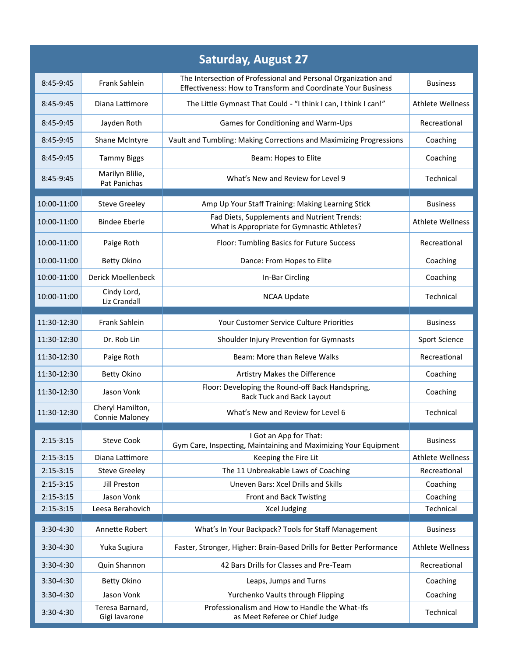| <b>Saturday, August 27</b> |                                    |                                                                                                                                |                         |  |  |  |
|----------------------------|------------------------------------|--------------------------------------------------------------------------------------------------------------------------------|-------------------------|--|--|--|
| 8:45-9:45                  | Frank Sahlein                      | The Intersection of Professional and Personal Organization and<br>Effectiveness: How to Transform and Coordinate Your Business | <b>Business</b>         |  |  |  |
| 8:45-9:45                  | Diana Lattimore                    | The Little Gymnast That Could - "I think I can, I think I can!"                                                                | <b>Athlete Wellness</b> |  |  |  |
| 8:45-9:45                  | Jayden Roth                        | Games for Conditioning and Warm-Ups                                                                                            | Recreational            |  |  |  |
| 8:45-9:45                  | Shane McIntyre                     | Vault and Tumbling: Making Corrections and Maximizing Progressions                                                             | Coaching                |  |  |  |
| 8:45-9:45                  | <b>Tammy Biggs</b>                 | Beam: Hopes to Elite                                                                                                           | Coaching                |  |  |  |
| 8:45-9:45                  | Marilyn Blilie,<br>Pat Panichas    | What's New and Review for Level 9                                                                                              | Technical               |  |  |  |
| 10:00-11:00                | <b>Steve Greeley</b>               | Amp Up Your Staff Training: Making Learning Stick                                                                              | <b>Business</b>         |  |  |  |
| 10:00-11:00                | <b>Bindee Eberle</b>               | Fad Diets, Supplements and Nutrient Trends:<br>What is Appropriate for Gymnastic Athletes?                                     | <b>Athlete Wellness</b> |  |  |  |
| 10:00-11:00                | Paige Roth                         | Floor: Tumbling Basics for Future Success                                                                                      | Recreational            |  |  |  |
| 10:00-11:00                | <b>Betty Okino</b>                 | Dance: From Hopes to Elite                                                                                                     | Coaching                |  |  |  |
| 10:00-11:00                | Derick Moellenbeck                 | In-Bar Circling                                                                                                                | Coaching                |  |  |  |
| 10:00-11:00                | Cindy Lord,<br>Liz Crandall        | <b>NCAA Update</b>                                                                                                             | Technical               |  |  |  |
| 11:30-12:30                | Frank Sahlein                      | Your Customer Service Culture Priorities                                                                                       | <b>Business</b>         |  |  |  |
|                            |                                    |                                                                                                                                |                         |  |  |  |
| 11:30-12:30                | Dr. Rob Lin                        | Shoulder Injury Prevention for Gymnasts                                                                                        | Sport Science           |  |  |  |
| 11:30-12:30                | Paige Roth                         | Beam: More than Releve Walks                                                                                                   | Recreational            |  |  |  |
| 11:30-12:30                | Betty Okino                        | Artistry Makes the Difference                                                                                                  | Coaching                |  |  |  |
| 11:30-12:30                | Jason Vonk                         | Floor: Developing the Round-off Back Handspring,<br><b>Back Tuck and Back Layout</b>                                           | Coaching                |  |  |  |
| 11:30-12:30                | Cheryl Hamilton,<br>Connie Maloney | What's New and Review for Level 6                                                                                              | Technical               |  |  |  |
|                            |                                    | I Got an App for That:                                                                                                         |                         |  |  |  |
| $2:15-3:15$                | <b>Steve Cook</b>                  | Gym Care, Inspecting, Maintaining and Maximizing Your Equipment                                                                | <b>Business</b>         |  |  |  |
| $2:15 - 3:15$              | Diana Lattimore                    | Keeping the Fire Lit                                                                                                           | <b>Athlete Wellness</b> |  |  |  |
| $2:15-3:15$                | <b>Steve Greeley</b>               | The 11 Unbreakable Laws of Coaching                                                                                            | Recreational            |  |  |  |
| $2:15-3:15$                | Jill Preston                       | Uneven Bars: Xcel Drills and Skills                                                                                            | Coaching                |  |  |  |
| $2:15-3:15$                | Jason Vonk                         | Front and Back Twisting                                                                                                        | Coaching                |  |  |  |
| $2:15-3:15$                | Leesa Berahovich                   | Xcel Judging                                                                                                                   | Technical               |  |  |  |
| 3:30-4:30                  | Annette Robert                     | What's In Your Backpack? Tools for Staff Management                                                                            | <b>Business</b>         |  |  |  |
| 3:30-4:30                  | Yuka Sugiura                       | Faster, Stronger, Higher: Brain-Based Drills for Better Performance                                                            | <b>Athlete Wellness</b> |  |  |  |
| $3:30-4:30$                | Quin Shannon                       | 42 Bars Drills for Classes and Pre-Team                                                                                        | Recreational            |  |  |  |
| 3:30-4:30                  | Betty Okino                        | Leaps, Jumps and Turns                                                                                                         | Coaching                |  |  |  |
| 3:30-4:30                  | Jason Vonk                         | Yurchenko Vaults through Flipping                                                                                              | Coaching                |  |  |  |